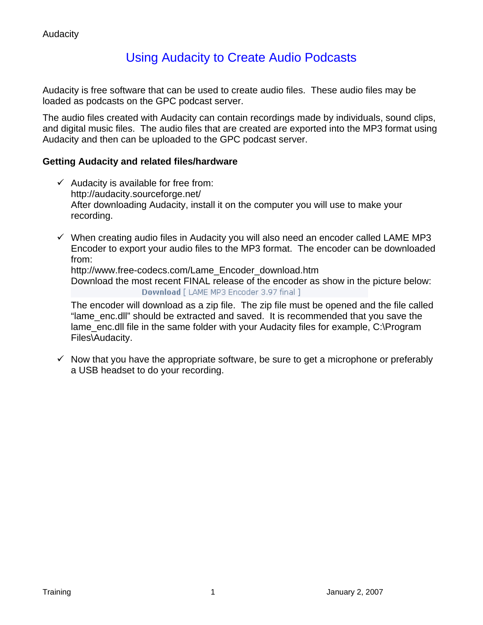# Using Audacity to Create Audio Podcasts

Audacity is free software that can be used to create audio files. These audio files may be loaded as podcasts on the GPC podcast server.

The audio files created with Audacity can contain recordings made by individuals, sound clips, and digital music files. The audio files that are created are exported into the MP3 format using Audacity and then can be uploaded to the GPC podcast server.

# **Getting Audacity and related files/hardware**

- $\checkmark$  Audacity is available for free from: http://audacity.sourceforge.net/ After downloading Audacity, install it on the computer you will use to make your recording.
- $\checkmark$  When creating audio files in Audacity you will also need an encoder called LAME MP3 Encoder to export your audio files to the MP3 format. The encoder can be downloaded from:

http://www.free-codecs.com/Lame\_Encoder\_download.htm

Download the most recent FINAL release of the encoder as show in the picture below: Download [ LAME MP3 Encoder 3.97 final ]

The encoder will download as a zip file. The zip file must be opened and the file called "lame\_enc.dll" should be extracted and saved. It is recommended that you save the lame enc.dll file in the same folder with your Audacity files for example, C:\Program Files\Audacity.

 $\checkmark$  Now that you have the appropriate software, be sure to get a microphone or preferably a USB headset to do your recording.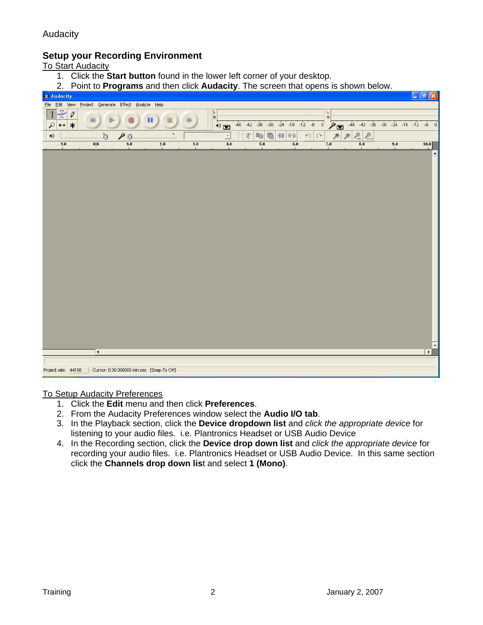### **Setup your Recording Environment**

To Start Audacity

- 1. Click the **Start button** found in the lower left corner of your desktop.
- 2. Point to **Programs** and then click **Audacity**. The screen that opens is shown below.

|                                                                       |                                                     |                  | 2. The contract region of a lot their ends <b>Audacity</b> . The server that opens is shown below. |                 |     |                                                               |     |     |                           |     |                        |
|-----------------------------------------------------------------------|-----------------------------------------------------|------------------|----------------------------------------------------------------------------------------------------|-----------------|-----|---------------------------------------------------------------|-----|-----|---------------------------|-----|------------------------|
| Audacity                                                              |                                                     |                  |                                                                                                    |                 |     |                                                               |     |     |                           |     | $\Box$ e $\bm{\times}$ |
|                                                                       | File Edit View Project Generate Effect Analyze Help |                  |                                                                                                    |                 |     |                                                               |     |     |                           |     |                        |
| $I \times 0$<br>$\mathcal{L}$<br>$\leftrightarrow$ *                  |                                                     |                  |                                                                                                    |                 |     | R<br>(1) 38 42 36 30 24 18 12 6 0 30 48 42 36 30 24 18 12 6 0 |     |     |                           |     |                        |
| $\overline{\mathbb{C}}$<br>$\frac{1}{2}$<br>$\blacktriangleleft \psi$ | $\ddot{\nabla}$                                     | $\rho_{\bar{Q}}$ |                                                                                                    |                 |     |                                                               |     |     | $P P_{\dots P} P_{\dots}$ |     |                        |
| $-1.0$                                                                | $0 0\rangle$                                        | $\overline{1.0}$ | 2.0                                                                                                | $\frac{3.0}{1}$ | 4.0 | 5.0                                                           | 6.0 | 7.0 |                           | 9.0 | 10.0                   |
|                                                                       |                                                     |                  |                                                                                                    |                 |     |                                                               |     |     |                           |     |                        |
|                                                                       | $\vert \cdot \vert$                                 |                  |                                                                                                    |                 |     |                                                               |     |     |                           |     | $\blacktriangleright$  |
|                                                                       |                                                     |                  |                                                                                                    |                 |     |                                                               |     |     |                           |     |                        |
| Project rate: 44100                                                   |                                                     |                  | Cursor: 0:00.000000 min:sec [Snap-To Off]                                                          |                 |     |                                                               |     |     |                           |     |                        |

To Setup Audacity Preferences

- 1. Click the **Edit** menu and then click **Preferences**.
- 2. From the Audacity Preferences window select the **Audio I/O tab**.
- 3. In the Playback section, click the **Device dropdown list** and *click the appropriate device* for listening to your audio files. i.e. Plantronics Headset or USB Audio Device
- 4. In the Recording section, click the **Device drop down list** and *click the appropriate device* for recording your audio files. i.e. Plantronics Headset or USB Audio Device. In this same section click the **Channels drop down lis**t and select **1 (Mono)**.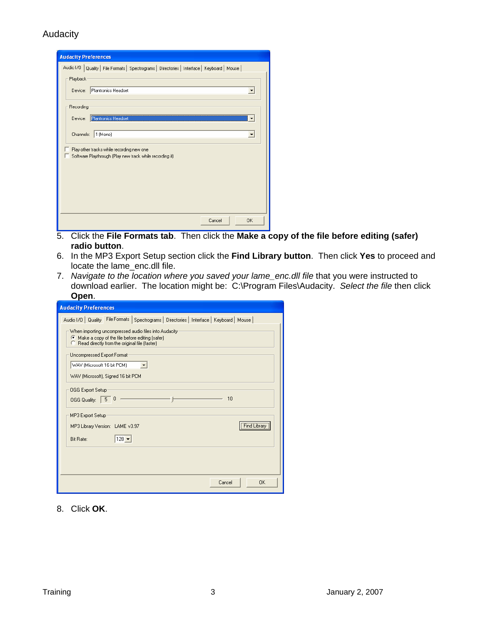| <b>Audacity Preferences</b>                                                                           |
|-------------------------------------------------------------------------------------------------------|
| Audio I/O   Quality   File Formats   Spectrograms   Directories   Interface   Keyboard   Mouse        |
| Playback                                                                                              |
| Plantronics Headset<br>Device:                                                                        |
| Recording                                                                                             |
| Plantronics Headset<br>Device:                                                                        |
| $1$ (Mono)<br>Channels:                                                                               |
| Play other tracks while recording new one<br>Software Playthrough (Play new track while recording it) |
|                                                                                                       |
|                                                                                                       |
|                                                                                                       |
|                                                                                                       |
| <b>OK</b><br>Cancel                                                                                   |

- 5. Click the **File Formats tab**. Then click the **Make a copy of the file before editing (safer) radio button**.
- 6. In the MP3 Export Setup section click the **Find Library button**. Then click **Yes** to proceed and locate the lame\_enc.dll file.
- 7. *Navigate to the location where you saved your lame\_enc.dll file* that you were instructed to download earlier. The location might be: C:\Program Files\Audacity. *Select the file* then click **Open**.

| <b>Audacity Preferences</b>                                                                                                                                 |
|-------------------------------------------------------------------------------------------------------------------------------------------------------------|
| Audio I/O   Quality   File Formats   Spectrograms   Directories   Interface   Keyboard   Mouse                                                              |
| When importing uncompressed audio files into Audacity-<br>Make a copy of the file before editing (safer)<br>C Read directly from the original file [faster] |
| Uncompressed Export Format:<br>WAV (Microsoft 16 bit PCM)                                                                                                   |
| WAV (Microsoft), Signed 16 bit PCM                                                                                                                          |
| OGG Export Setup<br>10<br>0<br>5<br>OGG Quality:                                                                                                            |
| MP3 Export Setup:                                                                                                                                           |
| Find Library<br>MP3 Library Version: LAME v3.97                                                                                                             |
| $ 128 -  $<br>Bit Rate:                                                                                                                                     |
|                                                                                                                                                             |
|                                                                                                                                                             |
| Cancel<br>0K                                                                                                                                                |

8. Click **OK**.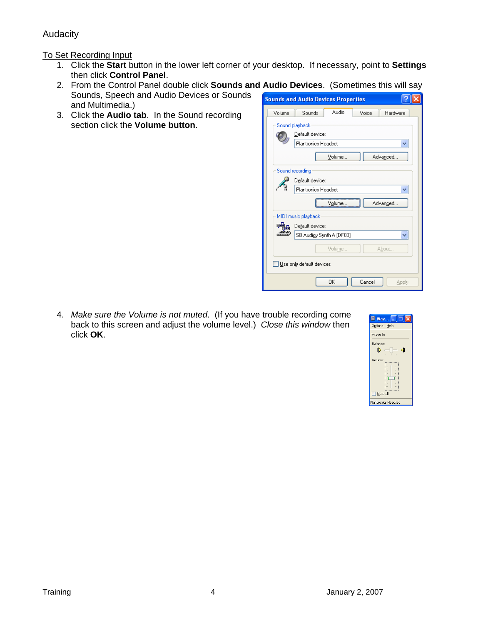### To Set Recording Input

- 1. Click the **Start** button in the lower left corner of your desktop. If necessary, point to **Settings** then click **Control Panel**.
- 2. From the Control Panel double click **Sounds and Audio Devices**. (Sometimes this will say Sounds, Speech and Audio Devices or Sounds  $\boxed{?}$   $\boxed{\times}$ **Sounds and Audio Devices Properties** and Multimedia.)
- 3. Click the **Audio tab**. In the Sound recording section click the **Volume button**.

Sounds Audio Volume Voice Hardware Sound playback Default device:  $\bullet$ Plantronics Headset × Volume. Advanced. Sound recording Default device: Plantronics Headset Ÿ Volume. Advanged. MIDI music playback 甲品 Default device: SB Audigy Synth A [DF00] ø  $\checkmark$ Volume. About. Use only default devices  $0K$  $Cancel$ Apply

4. *Make sure the Volume is not muted*. (If you have trouble recording come back to this screen and adjust the volume level.) *Close this window* then click **OK**.

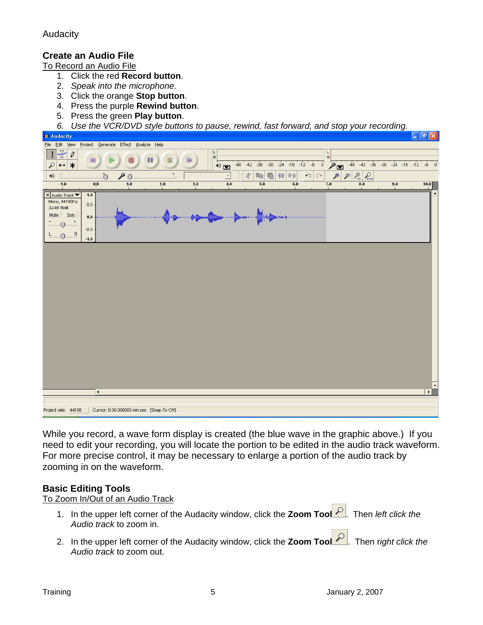# **Create an Audio File**

To Record an Audio File

- 1. Click the red **Record button**.
- 2. *Speak into the microphone*.
- 3. Click the orange **Stop button**.
- 4. Press the purple **Rewind button**.
- 5. Press the green **Play button**.
- *6. Use the VCR/DVD style buttons to pause, rewind, fast forward, and stop your recording.*



While you record, a wave form display is created (the blue wave in the graphic above.) If you need to edit your recording, you will locate the portion to be edited in the audio track waveform. For more precise control, it may be necessary to enlarge a portion of the audio track by zooming in on the waveform.

### **Basic Editing Tools**

To Zoom In/Out of an Audio Track

- 1. In the upper left corner of the Audacity window, click the **Zoom Tool** P. Then left click the *Audio track* to zoom in.
- 2. In the upper left corner of the Audacity window, click the **Zoom Tool** . Then r*ight click the Audio track* to zoom out.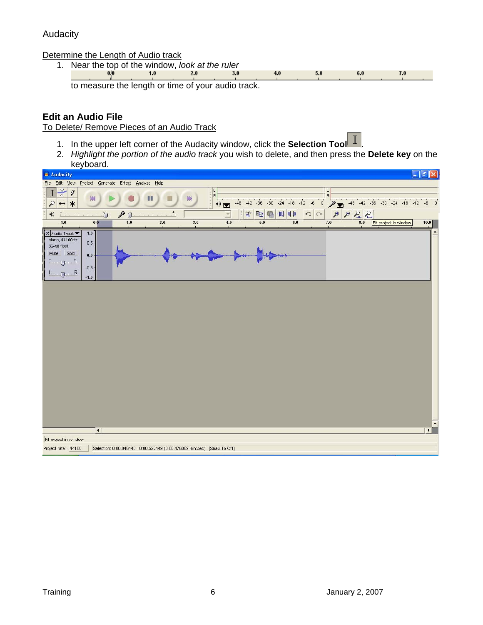Determine the Length of Audio track

1. Near the top of the window, *look at the ruler*<br><sup>0/0</sup> 1.0 2.0 3.0 to measure the length or time of your audio track.

# **Edit an Audio File**

To Delete/ Remove Pieces of an Audio Track

- 1. In the upper left corner of the Audacity window, click the **Selection Tool** .
- 2. *Highlight the portion of the audio track* you wish to delete, and then press the **Delete key** on the

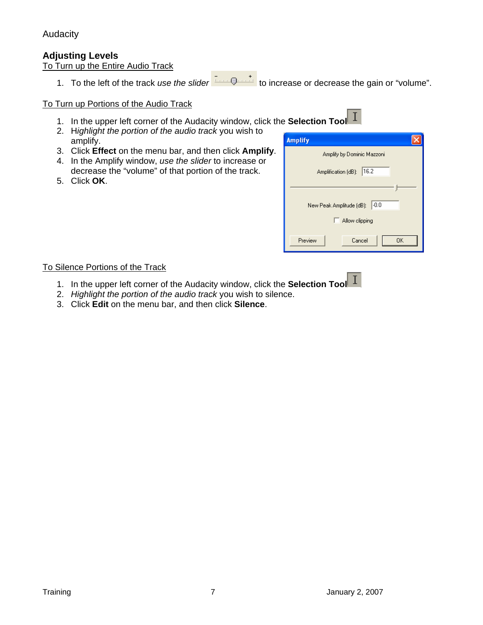# **Adjusting Levels**

To Turn up the Entire Audio Track

1. To the left of the track *use the slider*  $\frac{1}{2}$  **the increase or decrease the gain or "volume".** 

#### To Turn up Portions of the Audio Track

- 1. In the upper left corner of the Audacity window, click the **Selection Tool**
- 2. H*ighlight the portion of the audio track* you wish to amplify.
- 3. Click **Effect** on the menu bar, and then click **Amplify**.
- 4. In the Amplify window, *use the slider* to increase or decrease the "volume" of that portion of the track.
- 5. Click **OK**.

| <b>Amplify</b>                     |
|------------------------------------|
| Amplify by Dominic Mazzoni         |
| 16.2<br>Amplification (dB):        |
|                                    |
| $-0.0$<br>New Peak Amplitude (dB): |
| Allow clipping<br>H                |
| Preview<br><b>OK</b><br>Cancel     |

#### To Silence Portions of the Track

- 1. In the upper left corner of the Audacity window, click the **Selection Tool**
- 2. *Highlight the portion of the audio track* you wish to silence.
- 3. Click **Edit** on the menu bar, and then click **Silence**.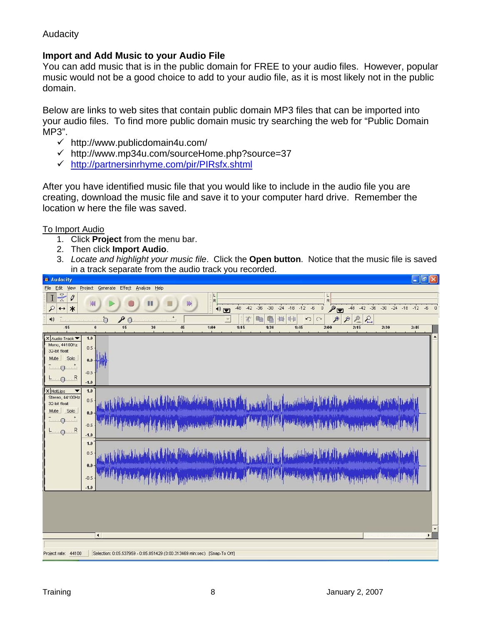# **Import and Add Music to your Audio File**

You can add music that is in the public domain for FREE to your audio files. However, popular music would not be a good choice to add to your audio file, as it is most likely not in the public domain.

Below are links to web sites that contain public domain MP3 files that can be imported into your audio files. To find more public domain music try searching the web for "Public Domain MP3".

- $\checkmark$  http://www.publicdomain4u.com/
- $\checkmark$  http://www.mp34u.com/sourceHome.php?source=37
- 9 http://partnersinrhyme.com/pir/PIRsfx.shtml

After you have identified music file that you would like to include in the audio file you are creating, download the music file and save it to your computer hard drive. Remember the location w here the file was saved.

To Import Audio

- 1. Click **Project** from the menu bar.
- 2. Then click **Import Audio**.
- 3. *Locate and highlight your music file*. Click the **Open button**. Notice that the music file is saved in a track separate from the audio track you recorded.

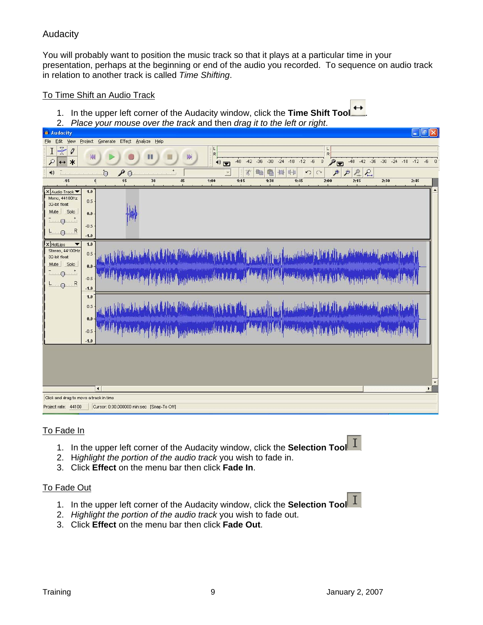You will probably want to position the music track so that it plays at a particular time in your presentation, perhaps at the beginning or end of the audio you recorded. To sequence on audio track in relation to another track is called *Time Shifting*.

#### To Time Shift an Audio Track

- 1. In the upper left corner of the Audacity window, click the **Time Shift Tool** .
- 2. *Place your mouse over the track* and then *drag it to the left or right*.



### To Fade In

- $\mathbf{I}$ 1. In the upper left corner of the Audacity window, click the **Selection Tool**
- 2. H*ighlight the portion of the audio track* you wish to fade in.
- 3. Click **Effect** on the menu bar then click **Fade In**.

#### To Fade Out

- $\mathbf I$ 1. In the upper left corner of the Audacity window, click the **Selection Tool**
- 2. *Highlight the portion of the audio track* you wish to fade out.
- 3. Click **Effect** on the menu bar then click **Fade Out**.